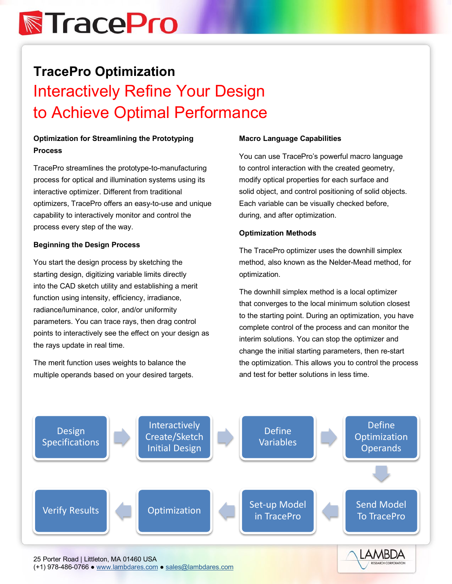# **N**TracePro

### **TracePro Optimization** Interactively Refine Your Design to Achieve Optimal Performance

### **Optimization for Streamlining the Prototyping Process**

TracePro streamlines the prototype-to-manufacturing process for optical and illumination systems using its interactive optimizer. Different from traditional optimizers, TracePro offers an easy-to-use and unique capability to interactively monitor and control the process every step of the way.

### **Beginning the Design Process**

You start the design process by sketching the starting design, digitizing variable limits directly into the CAD sketch utility and establishing a merit function using intensity, efficiency, irradiance, radiance/luminance, color, and/or uniformity parameters. You can trace rays, then drag control points to interactively see the effect on your design as the rays update in real time.

The merit function uses weights to balance the multiple operands based on your desired targets.

### **Macro Language Capabilities**

You can use TracePro's powerful macro language to control interaction with the created geometry, modify optical properties for each surface and solid object, and control positioning of solid objects. Each variable can be visually checked before, during, and after optimization.

### **Optimization Methods**

The TracePro optimizer uses the downhill simplex method, also known as the Nelder-Mead method, for optimization.

The downhill simplex method is a local optimizer that converges to the local minimum solution closest to the starting point. During an optimization, you have complete control of the process and can monitor the interim solutions. You can stop the optimizer and change the initial starting parameters, then re-start the optimization. This allows you to control the process and test for better solutions in less time.